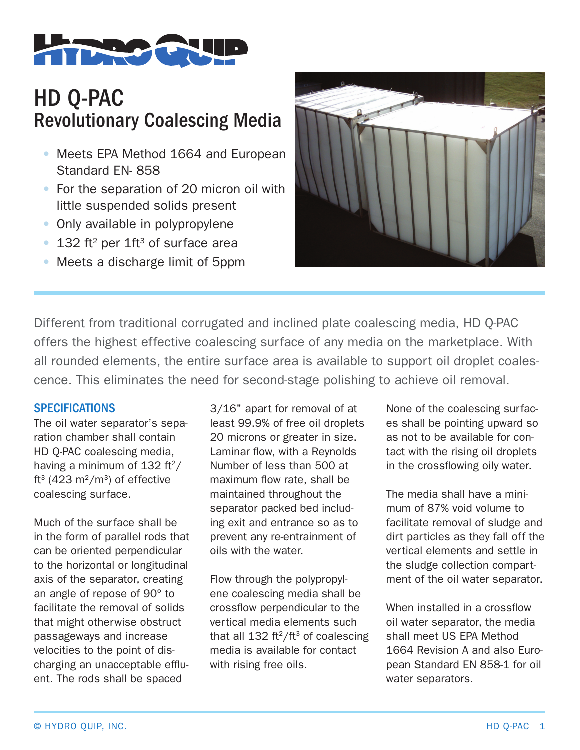

## HD Q-PAC Revolutionary Coalescing Media

- Meets EPA Method 1664 and European Standard EN- 858
- For the separation of 20 micron oil with little suspended solids present
- Only available in polypropylene
- 132 ft<sup>2</sup> per  $1ft^3$  of surface area
- Meets a discharge limit of 5ppm



Different from traditional corrugated and inclined plate coalescing media, HD Q-PAC offers the highest effective coalescing surface of any media on the marketplace. With all rounded elements, the entire surface area is available to support oil droplet coalescence. This eliminates the need for second-stage polishing to achieve oil removal.

## **SPECIFICATIONS**

The oil water separator's separation chamber shall contain HD Q-PAC coalescing media, having a minimum of  $132 \text{ ft}^2$ / ft<sup>3</sup> (423 m<sup>2</sup>/m<sup>3</sup>) of effective coalescing surface.

Much of the surface shall be in the form of parallel rods that can be oriented perpendicular to the horizontal or longitudinal axis of the separator, creating an angle of repose of 90° to facilitate the removal of solids that might otherwise obstruct passageways and increase velocities to the point of discharging an unacceptable effluent. The rods shall be spaced

3/16" apart for removal of at least 99.9% of free oil droplets 20 microns or greater in size. Laminar flow, with a Reynolds Number of less than 500 at maximum flow rate, shall be maintained throughout the separator packed bed including exit and entrance so as to prevent any re-entrainment of oils with the water.

Flow through the polypropylene coalescing media shall be crossflow perpendicular to the vertical media elements such that all  $132 \text{ ft}^2/\text{ft}^3$  of coalescing media is available for contact with rising free oils.

None of the coalescing surfaces shall be pointing upward so as not to be available for contact with the rising oil droplets in the crossflowing oily water.

The media shall have a minimum of 87% void volume to facilitate removal of sludge and dirt particles as they fall off the vertical elements and settle in the sludge collection compartment of the oil water separator.

When installed in a crossflow oil water separator, the media shall meet US EPA Method 1664 Revision A and also European Standard EN 858-1 for oil water separators.